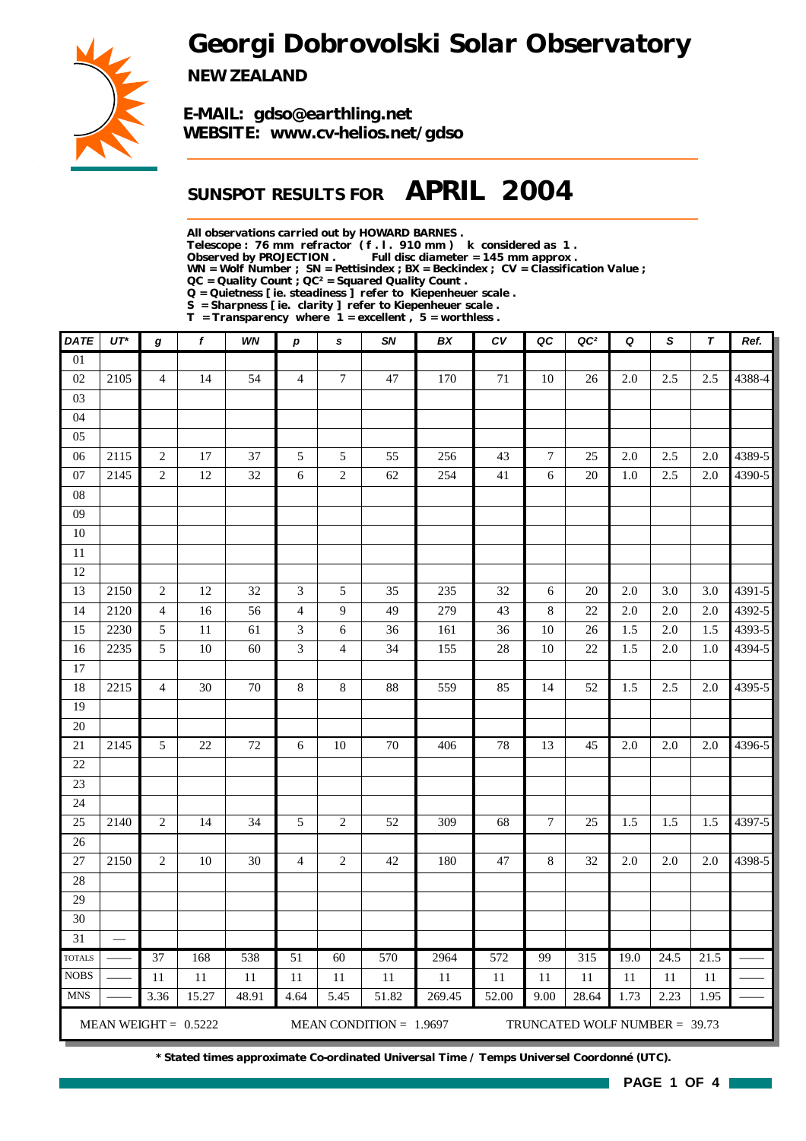*Georgi Dobrovolski Solar Observatory*



*NEW ZEALAND*

*E-MAIL: gdso@earthling.net WEBSITE: www.cv-helios.net/gdso*

### *SUNSPOT RESULTS FOR APRIL 2004*

*All observations carried out by HOWARD BARNES .*

*Telescope : 76 mm refractor ( f . l . 910 mm ) k considered as 1 .*

Full disc diameter = 145 mm approx .

*WN = Wolf Number ; SN = Pettisindex ; BX = Beckindex ; CV = Classification Value ;*

*QC = Quality Count ; QC² = Squared Quality Count . Q = Quietness [ ie. steadiness ] refer to Kiepenheuer scale .*

*S = Sharpness [ ie. clarity ] refer to Kiepenheuer scale .*

*T = Transparency where 1 = excellent , 5 = worthless .*

| <b>DATE</b>     | $UT^*$                   | g                       | f                      | WN    | $\boldsymbol{p}$ | s                        | <b>SN</b>                 | BX     | c v   | QC             | QC <sup>2</sup>               | Q    | S       | $\tau$  | Ref.   |
|-----------------|--------------------------|-------------------------|------------------------|-------|------------------|--------------------------|---------------------------|--------|-------|----------------|-------------------------------|------|---------|---------|--------|
| $\overline{01}$ |                          |                         |                        |       |                  |                          |                           |        |       |                |                               |      |         |         |        |
| 02              | 2105                     | $\overline{4}$          | 14                     | 54    | $\overline{4}$   | $\boldsymbol{7}$         | 47                        | 170    | 71    | 10             | 26                            | 2.0  | 2.5     | 2.5     | 4388-4 |
| 03              |                          |                         |                        |       |                  |                          |                           |        |       |                |                               |      |         |         |        |
| 04              |                          |                         |                        |       |                  |                          |                           |        |       |                |                               |      |         |         |        |
| 05              |                          |                         |                        |       |                  |                          |                           |        |       |                |                               |      |         |         |        |
| 06              | 2115                     | $\sqrt{2}$              | $17\,$                 | 37    | 5                | 5                        | 55                        | 256    | 43    | $\tau$         | 25                            | 2.0  | 2.5     | 2.0     | 4389-5 |
| $07\,$          | 2145                     | $\overline{c}$          | 12                     | 32    | $\sqrt{6}$       | $\overline{c}$           | 62                        | 254    | 41    | 6              | 20                            | 1.0  | 2.5     | 2.0     | 4390-5 |
| 08              |                          |                         |                        |       |                  |                          |                           |        |       |                |                               |      |         |         |        |
| 09              |                          |                         |                        |       |                  |                          |                           |        |       |                |                               |      |         |         |        |
| $10\,$          |                          |                         |                        |       |                  |                          |                           |        |       |                |                               |      |         |         |        |
| 11              |                          |                         |                        |       |                  |                          |                           |        |       |                |                               |      |         |         |        |
| 12              |                          |                         |                        |       |                  |                          |                           |        |       |                |                               |      |         |         |        |
| 13              | 2150                     | $\sqrt{2}$              | 12                     | 32    | 3                | $\mathfrak s$            | 35                        | 235    | 32    | 6              | 20                            | 2.0  | 3.0     | 3.0     | 4391-5 |
| 14              | 2120                     | $\overline{\mathbf{4}}$ | 16                     | 56    | $\overline{4}$   | 9                        | 49                        | 279    | 43    | 8              | 22                            | 2.0  | 2.0     | 2.0     | 4392-5 |
| 15              | 2230                     | 5                       | 11                     | 61    | 3                | 6                        | 36                        | 161    | 36    | 10             | 26                            | 1.5  | 2.0     | 1.5     | 4393-5 |
| 16              | 2235                     | 5                       | $10\,$                 | 60    | 3                | $\overline{\mathcal{L}}$ | 34                        | 155    | 28    | 10             | 22                            | 1.5  | $2.0\,$ | $1.0\,$ | 4394-5 |
| 17              |                          |                         |                        |       |                  |                          |                           |        |       |                |                               |      |         |         |        |
| 18              | 2215                     | $\overline{4}$          | 30                     | 70    | $8\,$            | $8\,$                    | 88                        | 559    | 85    | 14             | 52                            | 1.5  | 2.5     | 2.0     | 4395-5 |
| 19              |                          |                         |                        |       |                  |                          |                           |        |       |                |                               |      |         |         |        |
| 20              |                          |                         |                        |       |                  |                          |                           |        |       |                |                               |      |         |         |        |
| 21              | 2145                     | 5                       | 22                     | 72    | 6                | 10                       | 70                        | 406    | 78    | 13             | 45                            | 2.0  | 2.0     | 2.0     | 4396-5 |
| 22              |                          |                         |                        |       |                  |                          |                           |        |       |                |                               |      |         |         |        |
| 23              |                          |                         |                        |       |                  |                          |                           |        |       |                |                               |      |         |         |        |
| 24              |                          |                         |                        |       |                  |                          |                           |        |       |                |                               |      |         |         |        |
| 25              | 2140                     | $\mathbf{2}$            | 14                     | 34    | 5                | $\overline{2}$           | 52                        | 309    | 68    | $\overline{7}$ | 25                            | 1.5  | 1.5     | 1.5     | 4397-5 |
| 26              |                          |                         |                        |       |                  |                          |                           |        |       |                |                               |      |         |         |        |
| 27              | 2150                     | $\sqrt{2}$              | 10                     | 30    | $\overline{4}$   | $\overline{c}$           | 42                        | 180    | 47    | 8              | 32                            | 2.0  | $2.0\,$ | $2.0\,$ | 4398-5 |
| 28              |                          |                         |                        |       |                  |                          |                           |        |       |                |                               |      |         |         |        |
| 29              |                          |                         |                        |       |                  |                          |                           |        |       |                |                               |      |         |         |        |
| 30              |                          |                         |                        |       |                  |                          |                           |        |       |                |                               |      |         |         |        |
| 31              | $\overline{\phantom{m}}$ |                         |                        |       |                  |                          |                           |        |       |                |                               |      |         |         |        |
| <b>TOTALS</b>   |                          | 37                      | 168                    | 538   | 51               | 60                       | 570                       | 2964   | 572   | 99             | 315                           | 19.0 | 24.5    | 21.5    |        |
| <b>NOBS</b>     |                          | 11                      | 11                     | 11    | 11               | 11                       | 11                        | 11     | 11    | 11             | 11                            | 11   | 11      | 11      |        |
| <b>MNS</b>      |                          | 3.36                    | 15.27                  | 48.91 | 4.64             | 5.45                     | 51.82                     | 269.45 | 52.00 | 9.00           | 28.64                         | 1.73 | 2.23    | 1.95    |        |
|                 |                          |                         | MEAN WEIGHT = $0.5222$ |       |                  |                          | MEAN CONDITION = $1.9697$ |        |       |                | TRUNCATED WOLF NUMBER = 39.73 |      |         |         |        |

*\* Stated times approximate Co-ordinated Universal Time / Temps Universel Coordonné (UTC).*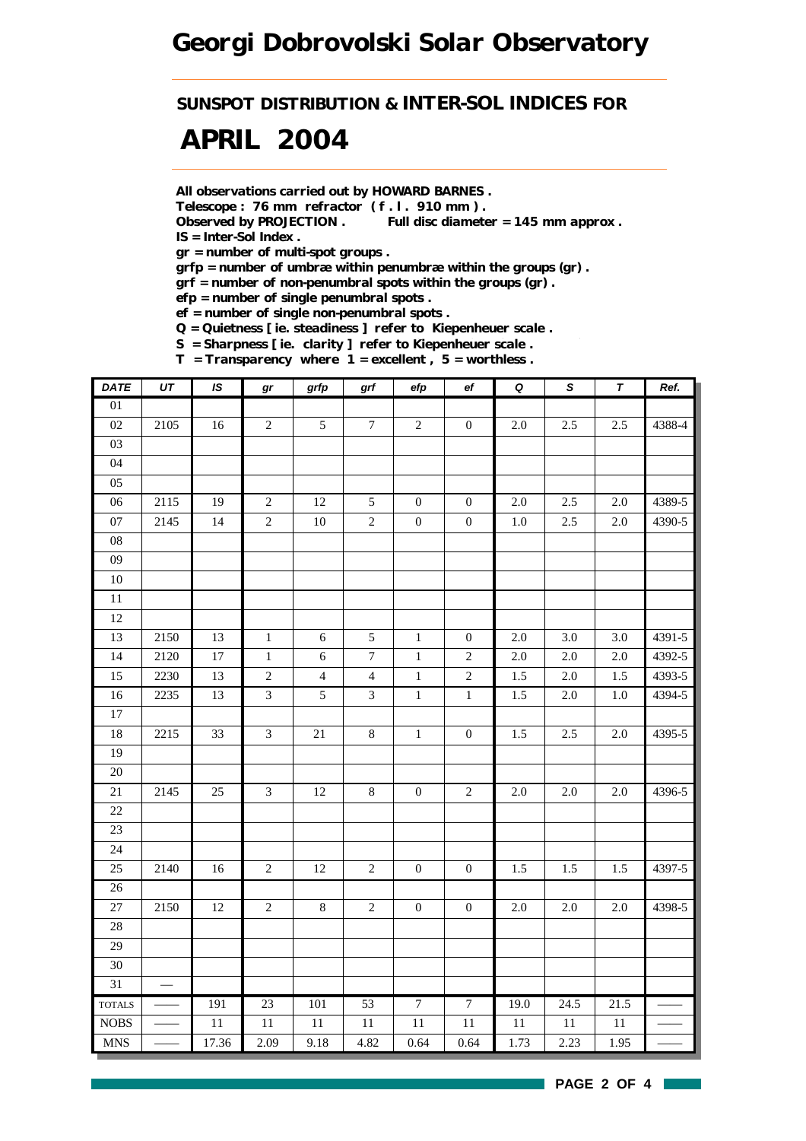*SUNSPOT DISTRIBUTION & INTER-SOL INDICES FOR*

# *APRIL 2004*

*All observations carried out by HOWARD BARNES .*

*Telescope : 76 mm refractor ( f . l . 910 mm ) .*

*Observed by PROJECTION . Full disc diameter = 145 mm approx . IS = Inter-Sol Index .*

*gr = number of multi-spot groups .*

*grfp = number of umbræ within penumbræ within the groups (gr) .*

*grf = number of non-penumbral spots within the groups (gr) .*

*efp = number of single penumbral spots .*

*ef = number of single non-penumbral spots .*

*Q = Quietness [ ie. steadiness ] refer to Kiepenheuer scale .*

*S = Sharpness [ ie. clarity ] refer to Kiepenheuer scale .*

*T = Transparency where 1 = excellent , 5 = worthless .*

| <b>DATE</b>                      | UT   | $\overline{1S}$ | $\bm{gr}$      | grfp            | $\operatorname{\textsf{grf}}$ | efp              | $_{\rm ef}$      | $\overline{\mathbf{Q}}$ | $\overline{s}$ | $\pmb{\tau}$ | Ref.   |
|----------------------------------|------|-----------------|----------------|-----------------|-------------------------------|------------------|------------------|-------------------------|----------------|--------------|--------|
| $\overline{01}$                  |      |                 |                |                 |                               |                  |                  |                         |                |              |        |
| 02                               | 2105 | 16              | $\sqrt{2}$     | $\sqrt{5}$      | $\boldsymbol{7}$              | $\sqrt{2}$       | $\boldsymbol{0}$ | $2.0\,$                 | 2.5            | 2.5          | 4388-4 |
| 03                               |      |                 |                |                 |                               |                  |                  |                         |                |              |        |
| 04                               |      |                 |                |                 |                               |                  |                  |                         |                |              |        |
| 05                               |      |                 |                |                 |                               |                  |                  |                         |                |              |        |
| $\overline{06}$                  | 2115 | $\overline{19}$ | $\overline{2}$ | $\overline{12}$ | $\overline{5}$                | $\boldsymbol{0}$ | $\boldsymbol{0}$ | $2.0\,$                 | 2.5            | 2.0          | 4389-5 |
| $07\,$                           | 2145 | 14              | $\sqrt{2}$     | $10\,$          | $\sqrt{2}$                    | $\boldsymbol{0}$ | $\boldsymbol{0}$ | $1.0\,$                 | $2.5\,$        | $2.0\,$      | 4390-5 |
| 08                               |      |                 |                |                 |                               |                  |                  |                         |                |              |        |
| 09                               |      |                 |                |                 |                               |                  |                  |                         |                |              |        |
| $10\,$                           |      |                 |                |                 |                               |                  |                  |                         |                |              |        |
| $\overline{11}$                  |      |                 |                |                 |                               |                  |                  |                         |                |              |        |
| 12                               |      |                 |                |                 |                               |                  |                  |                         |                |              |        |
| 13                               | 2150 | 13              | $\mathbf 1$    | $\sqrt{6}$      | $\sqrt{5}$                    | $\mathbf 1$      | $\boldsymbol{0}$ | $2.0\,$                 | 3.0            | 3.0          | 4391-5 |
| 14                               | 2120 | 17              | $\,1\,$        | $\sqrt{6}$      | $\boldsymbol{7}$              | $\,1$            | $\sqrt{2}$       | $2.0\,$                 | $2.0\,$        | $2.0\,$      | 4392-5 |
| 15                               | 2230 | 13              | $\sqrt{2}$     | $\overline{4}$  | $\overline{4}$                | $\,1\,$          | $\sqrt{2}$       | 1.5                     | $2.0\,$        | $1.5\,$      | 4393-5 |
| 16                               | 2235 | 13              | $\mathfrak{Z}$ | $\sqrt{5}$      | $\mathfrak{Z}$                | $\,1\,$          | $\mathbf 1$      | 1.5                     | $2.0\,$        | $1.0\,$      | 4394-5 |
| $17\,$                           |      |                 |                |                 |                               |                  |                  |                         |                |              |        |
| 18                               | 2215 | 33              | $\mathfrak{Z}$ | $21\,$          | $\,8\,$                       | $\,1\,$          | $\boldsymbol{0}$ | 1.5                     | 2.5            | $2.0\,$      | 4395-5 |
| 19                               |      |                 |                |                 |                               |                  |                  |                         |                |              |        |
| $20\,$                           |      |                 |                |                 |                               |                  |                  |                         |                |              |        |
| $21\,$                           | 2145 | 25              | $\mathfrak{Z}$ | $12\,$          | $\,8\,$                       | $\boldsymbol{0}$ | $\sqrt{2}$       | $2.0\,$                 | $2.0\,$        | 2.0          | 4396-5 |
| 22                               |      |                 |                |                 |                               |                  |                  |                         |                |              |        |
| 23                               |      |                 |                |                 |                               |                  |                  |                         |                |              |        |
| 24                               |      |                 |                |                 |                               |                  |                  |                         |                |              |        |
| 25                               | 2140 | 16              | $\sqrt{2}$     | $12\,$          | $\sqrt{2}$                    | $\boldsymbol{0}$ | $\boldsymbol{0}$ | 1.5                     | 1.5            | 1.5          | 4397-5 |
| $26\,$                           |      |                 |                |                 |                               |                  |                  |                         |                |              |        |
| 27                               | 2150 | $12\,$          | $\sqrt{2}$     | $8\,$           | $\sqrt{2}$                    | $\boldsymbol{0}$ | $\boldsymbol{0}$ | $2.0\,$                 | $2.0\,$        | $2.0\,$      | 4398-5 |
| 28                               |      |                 |                |                 |                               |                  |                  |                         |                |              |        |
| 29                               |      |                 |                |                 |                               |                  |                  |                         |                |              |        |
| 30                               |      |                 |                |                 |                               |                  |                  |                         |                |              |        |
| 31                               |      |                 |                |                 |                               |                  |                  |                         |                |              |        |
| <b>TOTALS</b>                    |      | 191             | 23             | 101             | 53                            | $\overline{7}$   | $\overline{7}$   | 19.0                    | 24.5           | 21.5         |        |
| <b>NOBS</b>                      |      | $11\,$          | 11             | 11              | $11\,$                        | $11\,$           | $11\,$           | $11\,$                  | $11\,$         | $11\,$       |        |
| $\mathbf{M}\mathbf{N}\mathbf{S}$ |      | 17.36           | 2.09           | 9.18            | 4.82                          | 0.64             | 0.64             | 1.73                    | 2.23           | 1.95         |        |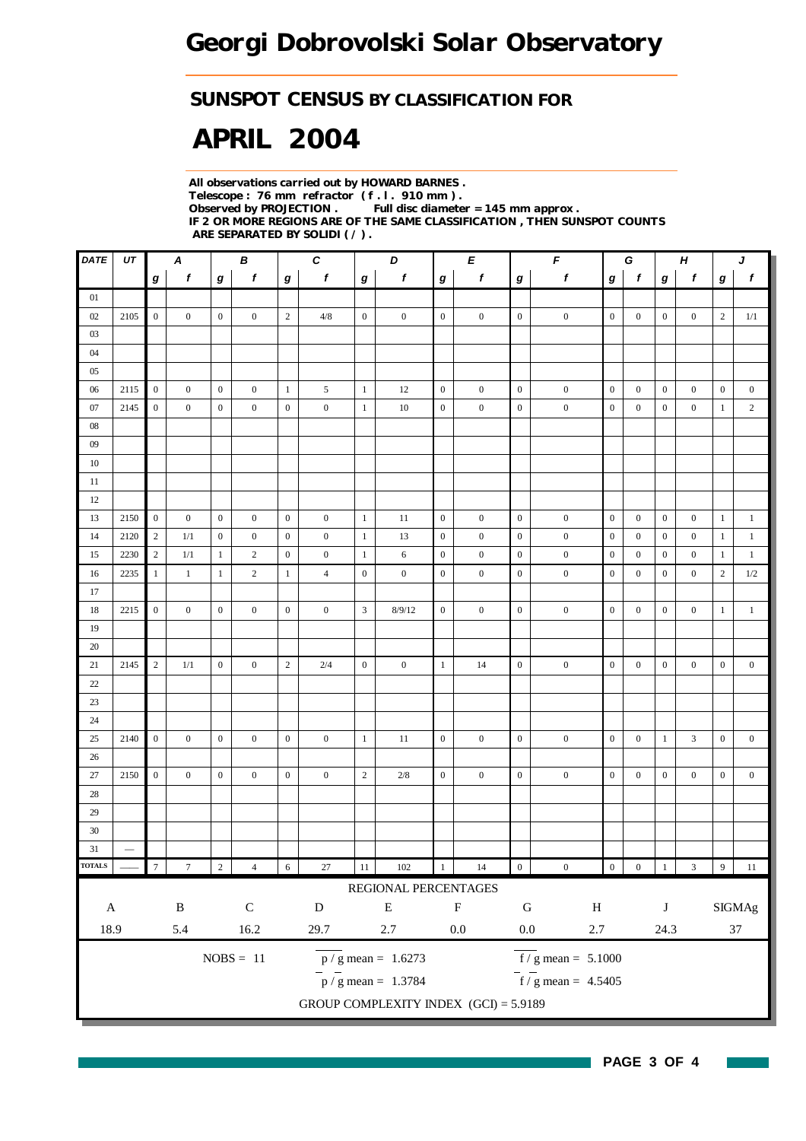#### *SUNSPOT CENSUS BY CLASSIFICATION FOR*

# *APRIL 2004*

*All observations carried out by HOWARD BARNES . Telescope : 76 mm refractor ( f . l . 910 mm ) . Observed by PROJECTION . Full disc diameter = 145 mm approx . IF 2 OR MORE REGIONS ARE OF THE SAME CLASSIFICATION , THEN SUNSPOT COUNTS ARE SEPARATED BY SOLIDI ( / ) .*

| DATE          | UT   | $\boldsymbol{B}$<br>A |                  |                  |                | $\pmb{C}$<br>D   |                  |                  | E                                       |                  | $\mathbf{F}$     |                  | G                                         |                  | $\boldsymbol{H}$ |                  | J                |                  |                  |
|---------------|------|-----------------------|------------------|------------------|----------------|------------------|------------------|------------------|-----------------------------------------|------------------|------------------|------------------|-------------------------------------------|------------------|------------------|------------------|------------------|------------------|------------------|
|               |      | $\bm{g}$              | $\mathbf f$      | $\boldsymbol{g}$ | f              | $\bm{g}$         | $\boldsymbol{f}$ | $\bm{g}$         | $\boldsymbol{f}$                        | $\boldsymbol{g}$ | f                | $\boldsymbol{g}$ | $\pmb{f}$                                 | $\boldsymbol{g}$ | $\mathbf{f}$     | $\bm{g}$         | $\mathbf f$      | g                | $\boldsymbol{f}$ |
| 01            |      |                       |                  |                  |                |                  |                  |                  |                                         |                  |                  |                  |                                           |                  |                  |                  |                  |                  |                  |
| 02            | 2105 | $\mathbf{0}$          | $\mathbf{0}$     | $\mathbf{0}$     | $\mathbf{0}$   | $\sqrt{2}$       | 4/8              | $\boldsymbol{0}$ | $\boldsymbol{0}$                        | $\mathbf{0}$     | $\mathbf{0}$     | $\mathbf{0}$     | $\boldsymbol{0}$                          | $\overline{0}$   | $\mathbf{0}$     | $\mathbf{0}$     | $\mathbf{0}$     | $\mathbf{2}$     | $1/1\,$          |
| 03            |      |                       |                  |                  |                |                  |                  |                  |                                         |                  |                  |                  |                                           |                  |                  |                  |                  |                  |                  |
| 04            |      |                       |                  |                  |                |                  |                  |                  |                                         |                  |                  |                  |                                           |                  |                  |                  |                  |                  |                  |
| 05            |      |                       |                  |                  |                |                  |                  |                  |                                         |                  |                  |                  |                                           |                  |                  |                  |                  |                  |                  |
| 06            | 2115 | $\mathbf{0}$          | $\boldsymbol{0}$ | $\mathbf{0}$     | $\overline{0}$ | $\mathbf{1}$     | 5                | $\mathbf{1}$     | 12                                      | $\mathbf{0}$     | $\boldsymbol{0}$ | $\mathbf{0}$     | $\boldsymbol{0}$                          | $\boldsymbol{0}$ | $\mathbf{0}$     | $\mathbf{0}$     | $\mathbf{0}$     | $\mathbf{0}$     | $\boldsymbol{0}$ |
| 07            | 2145 | $\mathbf{0}$          | $\boldsymbol{0}$ | $\mathbf{0}$     | $\overline{0}$ | $\boldsymbol{0}$ | $\boldsymbol{0}$ | $\mathbf{1}$     | 10                                      | $\boldsymbol{0}$ | $\boldsymbol{0}$ | $\boldsymbol{0}$ | $\boldsymbol{0}$                          | $\boldsymbol{0}$ | $\boldsymbol{0}$ | $\boldsymbol{0}$ | $\boldsymbol{0}$ | 1                | $\sqrt{2}$       |
| ${\bf 08}$    |      |                       |                  |                  |                |                  |                  |                  |                                         |                  |                  |                  |                                           |                  |                  |                  |                  |                  |                  |
| 09            |      |                       |                  |                  |                |                  |                  |                  |                                         |                  |                  |                  |                                           |                  |                  |                  |                  |                  |                  |
| 10            |      |                       |                  |                  |                |                  |                  |                  |                                         |                  |                  |                  |                                           |                  |                  |                  |                  |                  |                  |
| 11            |      |                       |                  |                  |                |                  |                  |                  |                                         |                  |                  |                  |                                           |                  |                  |                  |                  |                  |                  |
| 12            |      |                       |                  |                  |                |                  |                  |                  |                                         |                  |                  |                  |                                           |                  |                  |                  |                  |                  |                  |
| 13            | 2150 | $\mathbf{0}$          | $\overline{0}$   | $\mathbf{0}$     | $\overline{0}$ | $\mathbf{0}$     | $\boldsymbol{0}$ | $\mathbf{1}$     | 11                                      | $\overline{0}$   | $\boldsymbol{0}$ | $\boldsymbol{0}$ | $\boldsymbol{0}$                          | $\boldsymbol{0}$ | $\boldsymbol{0}$ | $\boldsymbol{0}$ | $\boldsymbol{0}$ | $\mathbf{1}$     | $\mathbf{1}$     |
| 14            | 2120 | $\overline{2}$        | 1/1              | $\mathbf{0}$     | $\overline{0}$ | $\mathbf{0}$     | $\mathbf{0}$     | $\mathbf{1}$     | 13                                      | $\mathbf{0}$     | $\boldsymbol{0}$ | $\mathbf{0}$     | $\boldsymbol{0}$                          | $\boldsymbol{0}$ | $\mathbf{0}$     | $\boldsymbol{0}$ | $\mathbf{0}$     | $\mathbf{1}$     | $\mathbf{1}$     |
| 15            | 2230 | $\overline{c}$        | 1/1              | -1               | $\overline{c}$ | $\mathbf{0}$     | $\boldsymbol{0}$ | $\mathbf{1}$     | 6                                       | $\mathbf{0}$     | $\boldsymbol{0}$ | $\boldsymbol{0}$ | $\boldsymbol{0}$                          | $\boldsymbol{0}$ | $\boldsymbol{0}$ | $\boldsymbol{0}$ | $\boldsymbol{0}$ | $\mathbf{1}$     | $\mathbf{1}$     |
| 16            | 2235 | $\mathbf{1}$          | $\mathbf{1}$     | $\mathbf{1}$     | $\overline{c}$ | 1                | $\overline{4}$   | $\boldsymbol{0}$ | $\boldsymbol{0}$                        | $\mathbf{0}$     | $\boldsymbol{0}$ | $\mathbf{0}$     | $\boldsymbol{0}$                          | $\boldsymbol{0}$ | $\boldsymbol{0}$ | $\boldsymbol{0}$ | $\boldsymbol{0}$ | 2                | $1/2\,$          |
| 17            |      |                       |                  |                  |                |                  |                  |                  |                                         |                  |                  |                  |                                           |                  |                  |                  |                  |                  |                  |
| 18            | 2215 | $\mathbf{0}$          | $\overline{0}$   | $\mathbf{0}$     | $\mathbf{0}$   | $\boldsymbol{0}$ | $\mathbf{0}$     | 3                | 8/9/12                                  | $\mathbf{0}$     | $\mathbf{0}$     | $\boldsymbol{0}$ | $\boldsymbol{0}$                          | $\overline{0}$   | $\mathbf{0}$     | $\boldsymbol{0}$ | $\boldsymbol{0}$ | $\mathbf{1}$     | $\mathbf{1}$     |
| 19            |      |                       |                  |                  |                |                  |                  |                  |                                         |                  |                  |                  |                                           |                  |                  |                  |                  |                  |                  |
| 20            |      |                       |                  |                  |                |                  |                  |                  |                                         |                  |                  |                  |                                           |                  |                  |                  |                  |                  |                  |
| 21            | 2145 | 2                     | 1/1              | $\mathbf{0}$     | $\overline{0}$ | $\overline{2}$   | 2/4              | $\boldsymbol{0}$ | $\overline{0}$                          | $\mathbf{1}$     | 14               | $\boldsymbol{0}$ | $\boldsymbol{0}$                          | $\overline{0}$   | $\mathbf{0}$     | $\boldsymbol{0}$ | $\mathbf{0}$     | $\mathbf{0}$     | $\boldsymbol{0}$ |
| $22\,$        |      |                       |                  |                  |                |                  |                  |                  |                                         |                  |                  |                  |                                           |                  |                  |                  |                  |                  |                  |
| $23\,$        |      |                       |                  |                  |                |                  |                  |                  |                                         |                  |                  |                  |                                           |                  |                  |                  |                  |                  |                  |
| 24            |      |                       |                  |                  |                |                  |                  |                  |                                         |                  |                  |                  |                                           |                  |                  |                  |                  |                  |                  |
| 25            | 2140 | $\mathbf{0}$          | $\overline{0}$   | $\mathbf{0}$     | $\overline{0}$ | $\mathbf{0}$     | $\mathbf{0}$     | $\mathbf{1}$     | 11                                      | $\overline{0}$   | $\mathbf{0}$     | $\mathbf{0}$     | $\boldsymbol{0}$                          | $\overline{0}$   | $\mathbf{0}$     | $\mathbf{1}$     | 3                | $\mathbf{0}$     | $\boldsymbol{0}$ |
| 26            |      |                       |                  |                  |                |                  |                  |                  |                                         |                  |                  |                  |                                           |                  |                  |                  |                  |                  |                  |
| 27            | 2150 | $\mathbf{0}$          | $\overline{0}$   | $\mathbf{0}$     | $\overline{0}$ | $\mathbf{0}$     | $\boldsymbol{0}$ | $\sqrt{2}$       | $2/8$                                   | $\overline{0}$   | $\mathbf{0}$     | $\mathbf{0}$     | $\boldsymbol{0}$                          | $\overline{0}$   | $\mathbf{0}$     | $\boldsymbol{0}$ | $\mathbf{0}$     | $\boldsymbol{0}$ | $\boldsymbol{0}$ |
| 28            |      |                       |                  |                  |                |                  |                  |                  |                                         |                  |                  |                  |                                           |                  |                  |                  |                  |                  |                  |
| 29            |      |                       |                  |                  |                |                  |                  |                  |                                         |                  |                  |                  |                                           |                  |                  |                  |                  |                  |                  |
| $30\,$        |      |                       |                  |                  |                |                  |                  |                  |                                         |                  |                  |                  |                                           |                  |                  |                  |                  |                  |                  |
| 31            |      |                       |                  |                  |                |                  |                  |                  |                                         |                  |                  |                  |                                           |                  |                  |                  |                  |                  |                  |
| <b>TOTALS</b> |      | $\boldsymbol{7}$      | $\boldsymbol{7}$ | $\sqrt{2}$       | $\overline{4}$ | $\sqrt{6}$       | $27\,$           | $11\,$           | $102\,$                                 | $1\,$            | $14\,$           | $\boldsymbol{0}$ | $\boldsymbol{0}$                          | $\boldsymbol{0}$ | $\boldsymbol{0}$ | $\,1\,$          | $\mathfrak{Z}$   | $\overline{9}$   | $11\,$           |
|               |      |                       |                  |                  |                |                  |                  |                  | REGIONAL PERCENTAGES                    |                  |                  |                  |                                           |                  |                  |                  |                  |                  |                  |
|               |      |                       | $\, {\bf B}$     |                  | ${\bf C}$      |                  | ${\bf D}$        |                  | ${\bf E}$                               |                  | $\mathbf F$      | ${\bf G}$        |                                           |                  |                  |                  |                  |                  |                  |
| $\mathbf A$   |      |                       |                  |                  |                |                  |                  |                  |                                         |                  |                  |                  | $\, {\rm H}$                              |                  |                  | $\bf J$          |                  |                  | SIGMAg           |
| 18.9          |      |                       | 5.4              |                  | 16.2           |                  | 29.7             |                  | $2.7\,$                                 |                  | $0.0\,$          | $0.0\,$          | $2.7\,$                                   |                  |                  | 24.3             |                  |                  | $37\,$           |
|               |      |                       |                  |                  | $NOBS = 11$    |                  |                  |                  | $p / g$ mean = 1.6273                   |                  |                  |                  | $\overline{f}/\overline{g}$ mean = 5.1000 |                  |                  |                  |                  |                  |                  |
|               |      |                       |                  |                  |                |                  |                  |                  | $\frac{1}{p}$ / g mean = 1.3784         |                  |                  |                  | $\overline{f}$ / g mean = 4.5405          |                  |                  |                  |                  |                  |                  |
|               |      |                       |                  |                  |                |                  |                  |                  |                                         |                  |                  |                  |                                           |                  |                  |                  |                  |                  |                  |
|               |      |                       |                  |                  |                |                  |                  |                  | GROUP COMPLEXITY INDEX $(GCI) = 5.9189$ |                  |                  |                  |                                           |                  |                  |                  |                  |                  |                  |